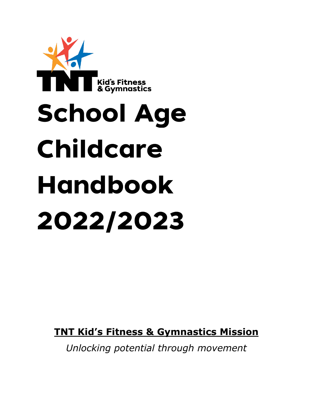

**TNT Kid's Fitness & Gymnastics Mission**

*Unlocking potential through movement*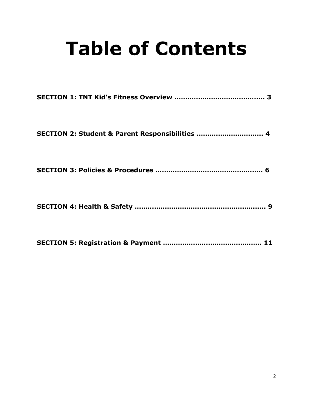# **Table of Contents**

| SECTION 2: Student & Parent Responsibilities  4 |
|-------------------------------------------------|
|                                                 |
|                                                 |
|                                                 |

**SECTION 5: Registration & Payment ………………………………………. 11**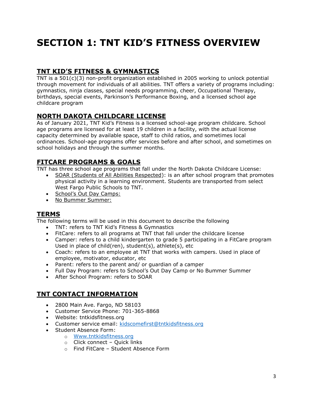# **SECTION 1: TNT KID'S FITNESS OVERVIEW**

# **TNT KID'S FITNESS & GYMNASTICS**

TNT is a 501(c)(3) non-profit organization established in 2005 working to unlock potential through movement for individuals of all abilities. TNT offers a variety of programs including: gymnastics, ninja classes, special needs programming, cheer, Occupational Therapy, birthdays, special events, Parkinson's Performance Boxing, and a licensed school age childcare program

## **NORTH DAKOTA CHILDCARE LICENSE**

As of January 2021, TNT Kid's Fitness is a licensed school-age program childcare. School age programs are licensed for at least 19 children in a facility, with the actual license capacity determined by available space, staff to child ratios, and sometimes local ordinances. School-age programs offer services before and after school, and sometimes on school holidays and through the summer months.

# **FITCARE PROGRAMS & GOALS**

TNT has three school age programs that fall under the North Dakota Childcare License:

 SOAR (Students of All Abilities Respected): is an after school program that promotes physical activity in a learning environment. Students are transported from select West Fargo Public Schools to TNT.

- School's Out Day Camps:
- No Bummer Summer:

#### **TERMS**

The following terms will be used in this document to describe the following

- TNT: refers to TNT Kid's Fitness & Gymnastics
- FitCare: refers to all programs at TNT that fall under the childcare license
- Camper: refers to a child kindergarten to grade 5 participating in a FitCare program Used in place of child(ren), student(s), athlete(s), etc
- Coach: refers to an employee at TNT that works with campers. Used in place of employee, motivator, educator, etc
- Parent: refers to the parent and/ or guardian of a camper
- Full Day Program: refers to School's Out Day Camp or No Bummer Summer
- After School Program: refers to SOAR

#### **TNT CONTACT INFORMATION**

- 2800 Main Ave. Fargo, ND 58103
- Customer Service Phone: 701-365-8868
- Website: tntkidsfitness.org
- Customer service email: [kidscomefirst@tntkidsfitness.org](mailto:kidscomefirst@tntkidsfitness.org)
- Student Absence Form:
	- o [Www.tntkidsfitness.org](http://www.tntkidsfitness.org/)
		- o Click connect Quick links
		- o Find FitCare Student Absence Form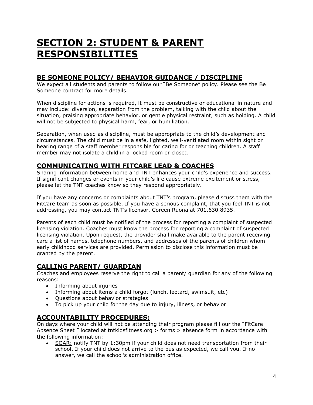# **SECTION 2: STUDENT & PARENT RESPONSIBILITIES**

## **BE SOMEONE POLICY/ BEHAVIOR GUIDANCE / DISCIPLINE**

We expect all students and parents to follow our "Be Someone" policy. Please see the Be Someone contract for more details.

When discipline for actions is required, it must be constructive or educational in nature and may include: diversion, separation from the problem, talking with the child about the situation, praising appropriate behavior, or gentle physical restraint, such as holding. A child will not be subjected to physical harm, fear, or humiliation.

Separation, when used as discipline, must be appropriate to the child's development and circumstances. The child must be in a safe, lighted, well-ventilated room within sight or hearing range of a staff member responsible for caring for or teaching children. A staff member may not isolate a child in a locked room or closet.

#### **COMMUNICATING WITH FITCARE LEAD & COACHES**

Sharing information between home and TNT enhances your child's experience and success. If significant changes or events in your child's life cause extreme excitement or stress, please let the TNT coaches know so they respond appropriately.

If you have any concerns or complaints about TNT's program, please discuss them with the FitCare team as soon as possible. If you have a serious complaint, that you feel TNT is not addressing, you may contact TNT's licensor, Coreen Ruona at 701.630.8935.

Parents of each child must be notified of the process for reporting a complaint of suspected licensing violation. Coaches must know the process for reporting a complaint of suspected licensing violation. Upon request, the provider shall make available to the parent receiving care a list of names, telephone numbers, and addresses of the parents of children whom early childhood services are provided. Permission to disclose this information must be granted by the parent.

# **CALLING PARENT/ GUARDIAN**

Coaches and employees reserve the right to call a parent/ guardian for any of the following reasons:

- Informing about injuries
- Informing about items a child forgot (lunch, leotard, swimsuit, etc)
- Questions about behavior strategies
- To pick up your child for the day due to injury, illness, or behavior

#### **ACCOUNTABILITY PROCEDURES:**

On days where your child will not be attending their program please fill our the "FitCare Absence Sheet " located at tntkidsfitness.org > forms > absence form in accordance with the following information:

 SOAR: notify TNT by 1:30pm if your child does not need transportation from their school. If your child does not arrive to the bus as expected, we call you. If no answer, we call the school's administration office.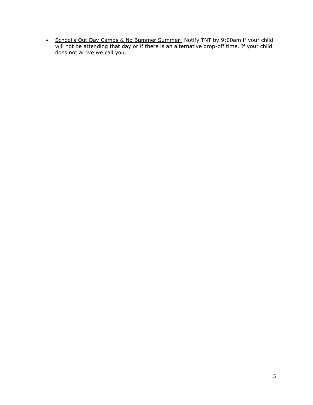• School's Out Day Camps & No Bummer Summer: Notify TNT by 9:00am if your child will not be attending that day or if there is an alternative drop-off time. If your child does not arrive we call you.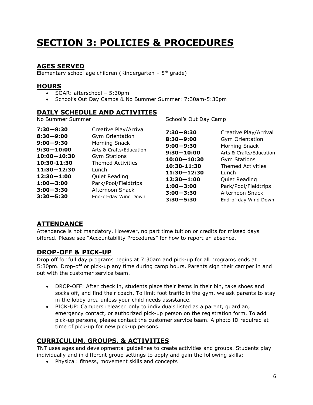# **SECTION 3: POLICIES & PROCEDURES**

## **AGES SERVED**

Elementary school age children (Kindergarten  $-5$ <sup>th</sup> grade)

#### **HOURS**

- SOAR: afterschool 5:30pm
- School's Out Day Camps & No Bummer Summer: 7:30am-5:30pm

#### **DAILY SCHEDULE AND ACTIVITIES**

No Bummer Summer

School's Out Day Camp

#### **ATTENDANCE**

Attendance is not mandatory. However, no part time tuition or credits for missed days offered. Please see "Accountability Procedures" for how to report an absence.

#### **DROP-OFF & PICK-UP**

Drop off for full day programs begins at 7:30am and pick-up for all programs ends at 5:30pm. Drop-off or pick-up any time during camp hours. Parents sign their camper in and out with the customer service team.

- DROP-OFF: After check in, students place their items in their bin, take shoes and socks off, and find their coach. To limit foot traffic in the gym, we ask parents to stay in the lobby area unless your child needs assistance.
- PICK-UP: Campers released only to individuals listed as a parent, guardian, emergency contact, or authorized pick-up person on the registration form. To add pick-up persons, please contact the customer service team. A photo ID required at time of pick-up for new pick-up persons.

# **CURRICULUM, GROUPS, & ACTIVITIES**

TNT uses ages and developmental guidelines to create activities and groups. Students play individually and in different group settings to apply and gain the following skills:

Physical: fitness, movement skills and concepts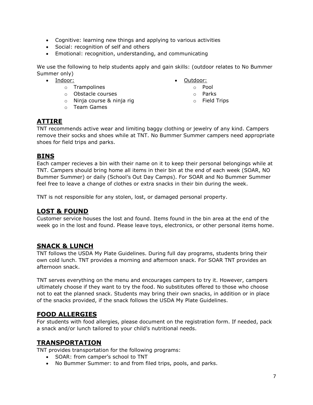- Cognitive: learning new things and applying to various activities
- Social: recognition of self and others
- Emotional: recognition, understanding, and communicating

We use the following to help students apply and gain skills: (outdoor relates to No Bummer Summer only)

• Indoor:

- o Trampolines
- o Obstacle courses
- o Ninja course & ninja rig
- o Team Games
- Outdoor:
	- o Pool
	- o Parks
	- o Field Trips

# **ATTIRE**

TNT recommends active wear and limiting baggy clothing or jewelry of any kind. Campers remove their socks and shoes while at TNT. No Bummer Summer campers need appropriate shoes for field trips and parks.

#### **BINS**

Each camper recieves a bin with their name on it to keep their personal belongings while at TNT. Campers should bring home all items in their bin at the end of each week (SOAR, NO Bummer Summer) or daily (School's Out Day Camps). For SOAR and No Bummer Summer feel free to leave a change of clothes or extra snacks in their bin during the week.

TNT is not responsible for any stolen, lost, or damaged personal property.

#### **LOST & FOUND**

Customer service houses the lost and found. Items found in the bin area at the end of the week go in the lost and found. Please leave toys, electronics, or other personal items home.

#### **SNACK & LUNCH**

TNT follows the USDA My Plate Guidelines. During full day programs, students bring their own cold lunch. TNT provides a morning and afternoon snack. For SOAR TNT provides an afternoon snack.

TNT serves everything on the menu and encourages campers to try it. However, campers ultimately choose if they want to try the food. No substitutes offered to those who choose not to eat the planned snack. Students may bring their own snacks, in addition or in place of the snacks provided, if the snack follows the USDA My Plate Guidelines.

#### **FOOD ALLERGIES**

For students with food allergies, please document on the registration form. If needed, pack a snack and/or lunch tailored to your child's nutritional needs.

#### **TRANSPORTATION**

TNT provides transportation for the following programs:

- SOAR: from camper's school to TNT
- No Bummer Summer: to and from filed trips, pools, and parks.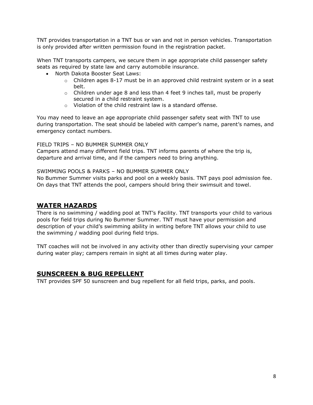TNT provides transportation in a TNT bus or van and not in person vehicles. Transportation is only provided after written permission found in the registration packet.

When TNT transports campers, we secure them in age appropriate child passenger safety seats as required by state law and carry automobile insurance.

- North Dakota Booster Seat Laws:
	- $\circ$  Children ages 8-17 must be in an approved child restraint system or in a seat belt.
	- $\circ$  Children under age 8 and less than 4 feet 9 inches tall, must be properly secured in a child restraint system.
	- o Violation of the child restraint law is a standard offense.

You may need to leave an age appropriate child passenger safety seat with TNT to use during transportation. The seat should be labeled with camper's name, parent's names, and emergency contact numbers.

FIELD TRIPS – NO BUMMER SUMMER ONLY

Campers attend many different field trips. TNT informs parents of where the trip is, departure and arrival time, and if the campers need to bring anything.

SWIMMING POOLS & PARKS – NO BUMMER SUMMER ONLY

No Bummer Summer visits parks and pool on a weekly basis. TNT pays pool admission fee. On days that TNT attends the pool, campers should bring their swimsuit and towel.

#### **WATER HAZARDS**

There is no swimming / wadding pool at TNT's Facility. TNT transports your child to various pools for field trips during No Bummer Summer. TNT must have your permission and description of your child's swimming ability in writing before TNT allows your child to use the swimming / wadding pool during field trips.

TNT coaches will not be involved in any activity other than directly supervising your camper during water play; campers remain in sight at all times during water play.

#### **SUNSCREEN & BUG REPELLENT**

TNT provides SPF 50 sunscreen and bug repellent for all field trips, parks, and pools.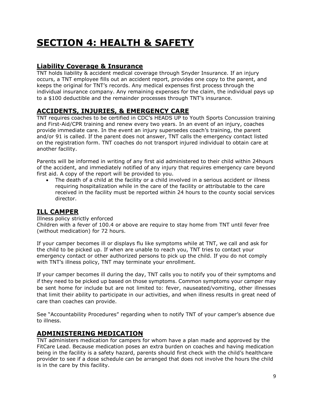# **SECTION 4: HEALTH & SAFETY**

# **Liability Coverage & Insurance**

TNT holds liability & accident medical coverage through Snyder Insurance. If an injury occurs, a TNT employee fills out an accident report, provides one copy to the parent, and keeps the original for TNT's records. Any medical expenses first process through the individual insurance company. Any remaining expenses for the claim, the individual pays up to a \$100 deductible and the remainder processes through TNT's insurance.

# **ACCIDENTS, INJURIES, & EMERGENCY CARE**

TNT requires coaches to be certified in CDC's HEADS UP to Youth Sports Concussion training and First-Aid/CPR training and renew every two years. In an event of an injury, coaches provide immediate care. In the event an injury supersedes coach's training, the parent and/or 91 is called. If the parent does not answer, TNT calls the emergency contact listed on the registration form. TNT coaches do not transport injured individual to obtain care at another facility.

Parents will be informed in writing of any first aid administered to their child within 24hours of the accident, and immediately notified of any injury that requires emergency care beyond first aid. A copy of the report will be provided to you.

 The death of a child at the facility or a child involved in a serious accident or illness requiring hospitalization while in the care of the facility or attributable to the care received in the facility must be reported within 24 hours to the county social services director.

#### **ILL CAMPER**

#### Illness policy strictly enforced

Children with a fever of 100.4 or above are require to stay home from TNT until fever free (without medication) for 72 hours.

If your camper becomes ill or displays flu like symptoms while at TNT, we call and ask for the child to be picked up. If when are unable to reach you, TNT tries to contact your emergency contact or other authorized persons to pick up the child. If you do not comply with TNT's illness policy, TNT may terminate your enrollment.

If your camper becomes ill during the day, TNT calls you to notify you of their symptoms and if they need to be picked up based on those symptoms. Common symptoms your camper may be sent home for include but are not limited to: fever, nauseated/vomiting, other illnesses that limit their ability to participate in our activities, and when illness results in great need of care than coaches can provide.

See "Accountability Procedures" regarding when to notify TNT of your camper's absence due to illness.

#### **ADMINISTERING MEDICATION**

TNT administers medication for campers for whom have a plan made and approved by the FitCare Lead. Because medication poses an extra burden on coaches and having medication being in the facility is a safety hazard, parents should first check with the child's healthcare provider to see if a dose schedule can be arranged that does not involve the hours the child is in the care by this facility.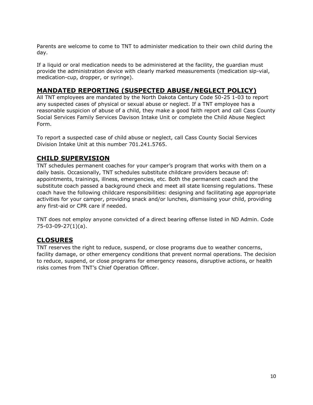Parents are welcome to come to TNT to administer medication to their own child during the day.

If a liquid or oral medication needs to be administered at the facility, the guardian must provide the administration device with clearly marked measurements (medication sip-vial, medication-cup, dropper, or syringe).

## **MANDATED REPORTING (SUSPECTED ABUSE/NEGLECT POLICY)**

All TNT employees are mandated by the North Dakota Century Code 50-25 1-03 to report any suspected cases of physical or sexual abuse or neglect. If a TNT employee has a reasonable suspicion of abuse of a child, they make a good faith report and call Cass County Social Services Family Services Davison Intake Unit or complete the Child Abuse Neglect Form.

To report a suspected case of child abuse or neglect, call Cass County Social Services Division Intake Unit at this number 701.241.5765.

# **CHILD SUPERVISION**

TNT schedules permanent coaches for your camper's program that works with them on a daily basis. Occasionally, TNT schedules substitute childcare providers because of: appointments, trainings, illness, emergencies, etc. Both the permanent coach and the substitute coach passed a background check and meet all state licensing regulations. These coach have the following childcare responsibilities: designing and facilitating age appropriate activities for your camper, providing snack and/or lunches, dismissing your child, providing any first-aid or CPR care if needed.

TNT does not employ anyone convicted of a direct bearing offense listed in ND Admin. Code 75-03-09-27(1)(a).

# **CLOSURES**

TNT reserves the right to reduce, suspend, or close programs due to weather concerns, facility damage, or other emergency conditions that prevent normal operations. The decision to reduce, suspend, or close programs for emergency reasons, disruptive actions, or health risks comes from TNT's Chief Operation Officer.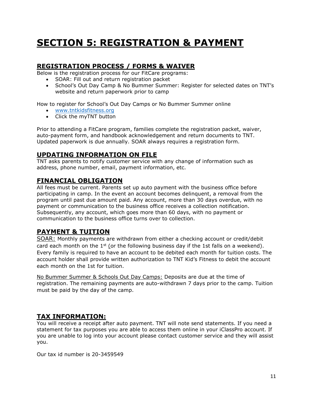# **SECTION 5: REGISTRATION & PAYMENT**

#### **REGISTRATION PROCESS / FORMS & WAIVER**

Below is the registration process for our FitCare programs:

- SOAR: Fill out and return registration packet
- School's Out Day Camp & No Bummer Summer: Register for selected dates on TNT's website and return paperwork prior to camp

How to register for School's Out Day Camps or No Bummer Summer online

- [www.tntkidsfitness.org](http://www.tntkidsfitness.org/)
- Click the myTNT button

Prior to attending a FitCare program, families complete the registration packet, waiver, auto-payment form, and handbook acknowledgement and return documents to TNT. Updated paperwork is due annually. SOAR always requires a registration form.

#### **UPDATING INFORMATION ON FILE**

TNT asks parents to notify customer service with any change of information such as address, phone number, email, payment information, etc.

#### **FINANCIAL OBLIGATION**

All fees must be current. Parents set up auto payment with the business office before participating in camp. In the event an account becomes delinquent, a removal from the program until past due amount paid. Any account, more than 30 days overdue, with no payment or communication to the business office receives a collection notification. Subsequently, any account, which goes more than 60 days, with no payment or communication to the business office turns over to collection.

# **PAYMENT & TUITION**

SOAR: Monthly payments are withdrawn from either a checking account or credit/debit card each month on the  $1^{st}$  (or the following business day if the 1st falls on a weekend). Every family is required to have an account to be debited each month for tuition costs. The account holder shall provide written authorization to TNT Kid's Fitness to debit the account each month on the 1st for tuition.

No Bummer Summer & Schools Out Day Camps: Deposits are due at the time of registration. The remaining payments are auto-withdrawn 7 days prior to the camp. Tuition must be paid by the day of the camp.

#### **TAX INFORMATION:**

You will receive a receipt after auto payment. TNT will note send statements. If you need a statement for tax purposes you are able to access them online in your iClassPro account. If you are unable to log into your account please contact customer service and they will assist you.

Our tax id number is 20-3459549